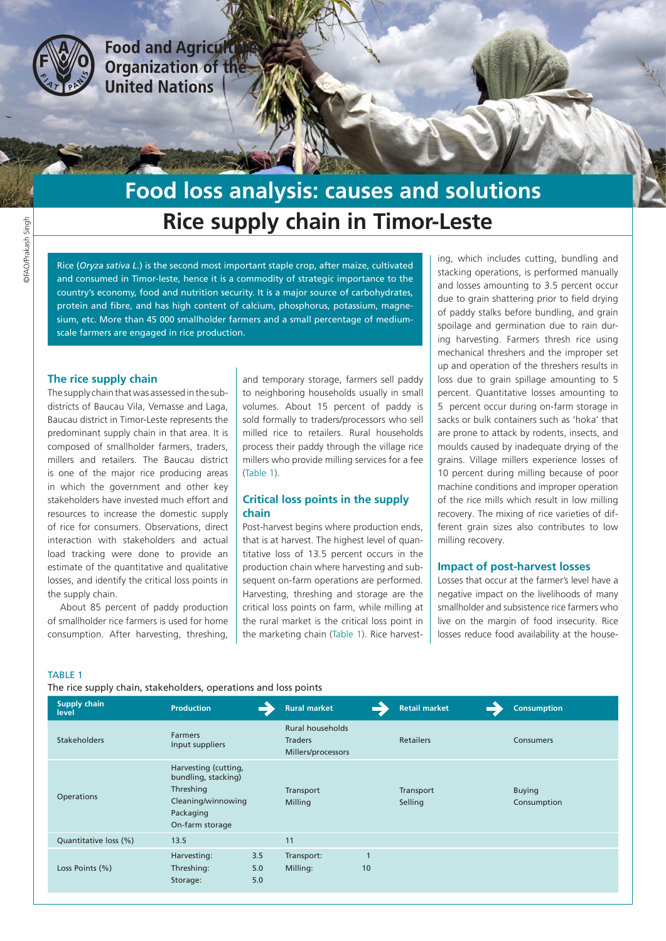

**Food and Agricult Organization of the United Nations** 

# **Rice supply chain in Timor-Leste Food loss analysis: causes and solutions**

Rice (*Oryza sativa L.*) is the second most important staple crop, after maize, cultivated and consumed in Timor-leste, hence it is a commodity of strategic importance to the country's economy, food and nutrition security. It is a major source of carbohydrates, protein and fibre, and has high content of calcium, phosphorus, potassium, magnesium, etc. More than 45 000 smallholder farmers and a small percentage of mediumscale farmers are engaged in rice production.

### **The rice supply chain**

The supply chain that was assessed in the subdistricts of Baucau Vila, Vemasse and Laga, Baucau district in Timor-Leste represents the predominant supply chain in that area. It is composed of smallholder farmers, traders, millers and retailers. The Baucau district is one of the major rice producing areas in which the government and other key stakeholders have invested much effort and resources to increase the domestic supply of rice for consumers. Observations, direct interaction with stakeholders and actual load tracking were done to provide an estimate of the quantitative and qualitative losses, and identify the critical loss points in the supply chain.

About 85 percent of paddy production of smallholder rice farmers is used for home consumption. After harvesting, threshing,

and temporary storage, farmers sell paddy to neighboring households usually in small volumes. About 15 percent of paddy is sold formally to traders/processors who sell milled rice to retailers. Rural households process their paddy through the village rice millers who provide milling services for a fee (Table 1).

## **Critical loss points in the supply chain**

Post-harvest begins where production ends, that is at harvest. The highest level of quantitative loss of 13.5 percent occurs in the production chain where harvesting and subsequent on-farm operations are performed. Harvesting, threshing and storage are the critical loss points on farm, while milling at the rural market is the critical loss point in the marketing chain (Table 1). Rice harvesting, which includes cutting, bundling and stacking operations, is performed manually and losses amounting to 3.5 percent occur due to grain shattering prior to field drying of paddy stalks before bundling, and grain spoilage and germination due to rain during harvesting. Farmers thresh rice using mechanical threshers and the improper set up and operation of the threshers results in loss due to grain spillage amounting to 5 percent. Quantitative losses amounting to 5 percent occur during on-farm storage in sacks or bulk containers such as 'hoka' that are prone to attack by rodents, insects, and moulds caused by inadequate drying of the grains. Village millers experience losses of 10 percent during milling because of poor machine conditions and improper operation of the rice mills which result in low milling recovery. The mixing of rice varieties of different grain sizes also contributes to low milling recovery.

## **Impact of post-harvest losses**

Losses that occur at the farmer's level have a negative impact on the livelihoods of many smallholder and subsistence rice farmers who live on the margin of food insecurity. Rice losses reduce food availability at the house-

#### TABLE 1

The rice supply chain, stakeholders, operations and loss points

| Supply chain<br>level | <b>Production</b>                                                                                              | <b>Rural market</b>                                             |                    | <b>Retail market</b> | <b>Consumption</b>           |
|-----------------------|----------------------------------------------------------------------------------------------------------------|-----------------------------------------------------------------|--------------------|----------------------|------------------------------|
| <b>Stakeholders</b>   | <b>Farmers</b><br>Input suppliers                                                                              | <b>Rural households</b><br><b>Traders</b><br>Millers/processors |                    | <b>Retailers</b>     | Consumers                    |
| Operations            | Harvesting (cutting,<br>bundling, stacking)<br>Threshing<br>Cleaning/winnowing<br>Packaging<br>On-farm storage | Transport<br>Milling                                            |                    | Transport<br>Selling | <b>Buying</b><br>Consumption |
| Quantitative loss (%) | 13.5                                                                                                           | 11                                                              |                    |                      |                              |
| Loss Points (%)       | 3.5<br>Harvesting:<br>Threshing:<br>5.0<br>5.0<br>Storage:                                                     | Transport:<br>Milling:                                          | $\mathbf{1}$<br>10 |                      |                              |